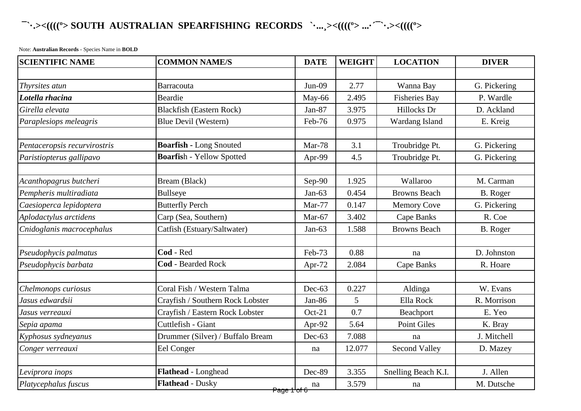## **¯`·.><((((º> SOUTH AUSTRALIAN SPEARFISHING RECORDS `·...¸><((((º> ...·´¯`·.><((((º>**

Note: **Australian Records** - Species Name in **BOLD**

| <b>SCIENTIFIC NAME</b>       | <b>COMMON NAME/S</b>             | <b>DATE</b> | <b>WEIGHT</b> | <b>LOCATION</b>      | <b>DIVER</b> |
|------------------------------|----------------------------------|-------------|---------------|----------------------|--------------|
|                              |                                  |             |               |                      |              |
| Thyrsites atun               | <b>Barracouta</b>                | $Jun-09$    | 2.77          | Wanna Bay            | G. Pickering |
| Lotella rhacina              | Beardie                          | May-66      | 2.495         | <b>Fisheries Bay</b> | P. Wardle    |
| Girella elevata              | <b>Blackfish (Eastern Rock)</b>  | Jan-87      | 3.975         | Hillocks Dr          | D. Ackland   |
| Paraplesiops meleagris       | Blue Devil (Western)             | Feb-76      | 0.975         | Wardang Island       | E. Kreig     |
|                              |                                  |             |               |                      |              |
| Pentaceropsis recurvirostris | <b>Boarfish - Long Snouted</b>   | Mar-78      | 3.1           | Troubridge Pt.       | G. Pickering |
| Paristiopterus gallipavo     | <b>Boarfish - Yellow Spotted</b> | Apr-99      | 4.5           | Troubridge Pt.       | G. Pickering |
| Acanthopagrus butcheri       | Bream (Black)                    | Sep-90      | 1.925         | Wallaroo             | M. Carman    |
| Pempheris multiradiata       | <b>Bullseye</b>                  | $Jan-63$    | 0.454         | <b>Browns Beach</b>  | B. Roger     |
| Caesioperca lepidoptera      | <b>Butterfly Perch</b>           | Mar-77      | 0.147         | <b>Memory Cove</b>   | G. Pickering |
| Aplodactylus arctidens       | Carp (Sea, Southern)             | Mar-67      | 3.402         | <b>Cape Banks</b>    | R. Coe       |
| Cnidoglanis macrocephalus    | Catfish (Estuary/Saltwater)      | $Jan-63$    | 1.588         | <b>Browns Beach</b>  | B. Roger     |
|                              |                                  |             |               |                      |              |
| Pseudophycis palmatus        | Cod - Red                        | Feb-73      | 0.88          | na                   | D. Johnston  |
| Pseudophycis barbata         | <b>Cod</b> - Bearded Rock        | Apr-72      | 2.084         | Cape Banks           | R. Hoare     |
|                              |                                  |             |               |                      |              |
| Chelmonops curiosus          | Coral Fish / Western Talma       | Dec-63      | 0.227         | Aldinga              | W. Evans     |
| Jasus edwardsii              | Crayfish / Southern Rock Lobster | Jan-86      | 5             | Ella Rock            | R. Morrison  |
| Jasus verreauxi              | Crayfish / Eastern Rock Lobster  | $Oct-21$    | 0.7           | Beachport            | E. Yeo       |
| Sepia apama                  | Cuttlefish - Giant               | Apr-92      | 5.64          | <b>Point Giles</b>   | K. Bray      |
| Kyphosus sydneyanus          | Drummer (Silver) / Buffalo Bream | Dec-63      | 7.088         | na                   | J. Mitchell  |
| Conger verreauxi             | Eel Conger                       | na          | 12.077        | <b>Second Valley</b> | D. Mazey     |
|                              |                                  |             |               |                      |              |
| Leviprora inops              | Flathead - Longhead              | Dec-89      | 3.355         | Snelling Beach K.I.  | J. Allen     |
| Platycephalus fuscus         | Flathead - Dusky                 | na          | 3.579         | na                   | M. Dutsche   |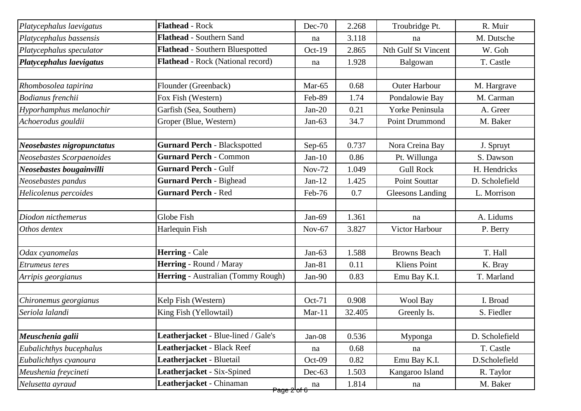| Platycephalus laevigatus   | <b>Flathead - Rock</b>              | Dec-70        | 2.268  | Troubridge Pt.          | R. Muir        |
|----------------------------|-------------------------------------|---------------|--------|-------------------------|----------------|
| Platycephalus bassensis    | <b>Flathead - Southern Sand</b>     | na            | 3.118  | na                      | M. Dutsche     |
| Platycephalus speculator   | Flathead - Southern Bluespotted     | Oct-19        | 2.865  | Nth Gulf St Vincent     | W. Goh         |
| Platycephalus laevigatus   | Flathead - Rock (National record)   | na            | 1.928  | Balgowan                | T. Castle      |
|                            |                                     |               |        |                         |                |
| Rhombosolea tapirina       | Flounder (Greenback)                | Mar-65        | 0.68   | <b>Outer Harbour</b>    | M. Hargrave    |
| Bodianus frenchii          | Fox Fish (Western)                  | Feb-89        | 1.74   | Pondalowie Bay          | M. Carman      |
| Hyporhamphus melanochir    | Garfish (Sea, Southern)             | $Jan-20$      | 0.21   | Yorke Peninsula         | A. Greer       |
| Achoerodus gouldii         | Groper (Blue, Western)              | $Jan-63$      | 34.7   | Point Drummond          | M. Baker       |
| Neosebastes nigropunctatus | <b>Gurnard Perch - Blackspotted</b> | Sep- $65$     | 0.737  | Nora Creina Bay         | J. Spruyt      |
| Neosebastes Scorpaenoides  | <b>Gurnard Perch - Common</b>       | $Jan-10$      | 0.86   | Pt. Willunga            | S. Dawson      |
| Neosebastes bougainvilli   | <b>Gurnard Perch - Gulf</b>         | <b>Nov-72</b> | 1.049  | <b>Gull Rock</b>        | H. Hendricks   |
| Neosebastes pandus         | <b>Gurnard Perch - Bighead</b>      | $Jan-12$      | 1.425  | <b>Point Souttar</b>    | D. Scholefield |
| Helicolenus percoides      | <b>Gurnard Perch - Red</b>          | Feb-76        | 0.7    | <b>Gleesons Landing</b> | L. Morrison    |
| Diodon nicthemerus         | Globe Fish                          | Jan-69        | 1.361  | na                      | A. Lidums      |
| Othos dentex               | Harlequin Fish                      | $Nov-67$      | 3.827  | Victor Harbour          | P. Berry       |
|                            |                                     |               |        |                         |                |
| Odax cyanomelas            | <b>Herring - Cale</b>               | $Jan-63$      | 1.588  | <b>Browns Beach</b>     | T. Hall        |
| <b>Etrumeus</b> teres      | Herring - Round / Maray             | Jan-81        | 0.11   | <b>Kliens Point</b>     | K. Bray        |
| Arripis georgianus         | Herring - Australian (Tommy Rough)  | Jan-90        | 0.83   | Emu Bay K.I.            | T. Marland     |
| Chironemus georgianus      | Kelp Fish (Western)                 | Oct-71        | 0.908  | Wool Bay                | I. Broad       |
| Seriola lalandi            | King Fish (Yellowtail)              | $Mar-11$      | 32.405 | Greenly Is.             | S. Fiedler     |
|                            |                                     |               |        |                         |                |
| Meuschenia galii           | Leatherjacket - Blue-lined / Gale's | Jan-08        | 0.536  | Myponga                 | D. Scholefield |
| Eubalichthys bucephalus    | Leatherjacket - Black Reef          | na            | 0.68   | na                      | T. Castle      |
| Eubalichthys cyanoura      | Leatherjacket - Bluetail            | Oct-09        | 0.82   | Emu Bay K.I.            | D.Scholefield  |
| Meushenia freycineti       | Leatherjacket - Six-Spined          | $Dec-63$      | 1.503  | Kangaroo Island         | R. Taylor      |
| Nelusetta ayraud           | Leatherjacket - Chinaman            | na            | 1.814  | na                      | M. Baker       |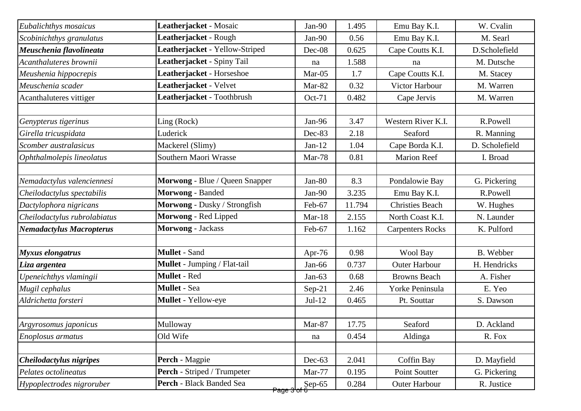| Eubalichthys mosaicus           | Leatherjacket - Mosaic         | Jan-90                   | 1.495  | Emu Bay K.I.            | W. Cvalin      |
|---------------------------------|--------------------------------|--------------------------|--------|-------------------------|----------------|
| Scobinichthys granulatus        | Leatherjacket - Rough          | Jan-90                   | 0.56   | Emu Bay K.I.            | M. Searl       |
| Meuschenia flavolineata         | Leatherjacket - Yellow-Striped | Dec-08                   | 0.625  | Cape Coutts K.I.        | D.Scholefield  |
| Acanthaluteres brownii          | Leatherjacket - Spiny Tail     | na                       | 1.588  | na                      | M. Dutsche     |
| Meushenia hippocrepis           | Leatherjacket - Horseshoe      | Mar-05                   | 1.7    | Cape Coutts K.I.        | M. Stacey      |
| Meuschenia scader               | Leatherjacket - Velvet         | Mar-82                   | 0.32   | Victor Harbour          | M. Warren      |
| Acanthaluteres vittiger         | Leatherjacket - Toothbrush     | Oct-71                   | 0.482  | Cape Jervis             | M. Warren      |
|                                 |                                |                          |        |                         |                |
| Genypterus tigerinus            | Ling (Rock)                    | Jan-96                   | 3.47   | Western River K.I.      | R.Powell       |
| Girella tricuspidata            | Luderick                       | Dec-83                   | 2.18   | Seaford                 | R. Manning     |
| Scomber australasicus           | Mackerel (Slimy)               | $Jan-12$                 | 1.04   | Cape Borda K.I.         | D. Scholefield |
| Ophthalmolepis lineolatus       | Southern Maori Wrasse          | Mar-78                   | 0.81   | <b>Marion Reef</b>      | I. Broad       |
|                                 |                                |                          |        |                         |                |
| Nemadactylus valenciennesi      | Morwong - Blue / Queen Snapper | $Jan-80$                 | 8.3    | Pondalowie Bay          | G. Pickering   |
| Cheilodactylus spectabilis      | Morwong - Banded               | $Jan-90$                 | 3.235  | Emu Bay K.I.            | R.Powell       |
| Dactylophora nigricans          | Morwong - Dusky / Strongfish   | Feb-67                   | 11.794 | <b>Christies Beach</b>  | W. Hughes      |
| Cheilodactylus rubrolabiatus    | Morwong - Red Lipped           | $Mar-18$                 | 2.155  | North Coast K.I.        | N. Launder     |
| <b>Nemadactylus Macropterus</b> | Morwong - Jackass              | Feb-67                   | 1.162  | <b>Carpenters Rocks</b> | K. Pulford     |
|                                 |                                |                          |        |                         |                |
| Myxus elongatrus                | <b>Mullet - Sand</b>           | Apr-76                   | 0.98   | Wool Bay                | B. Webber      |
| Liza argentea                   | Mullet - Jumping / Flat-tail   | $Jan-66$                 | 0.737  | <b>Outer Harbour</b>    | H. Hendricks   |
| Upeneichthys vlamingii          | <b>Mullet - Red</b>            | $Jan-63$                 | 0.68   | <b>Browns Beach</b>     | A. Fisher      |
| Mugil cephalus                  | <b>Mullet</b> - Sea            | $Sep-21$                 | 2.46   | Yorke Peninsula         | E. Yeo         |
| Aldrichetta forsteri            | Mullet - Yellow-eye            | $Jul-12$                 | 0.465  | Pt. Souttar             | S. Dawson      |
|                                 | Mulloway                       | Mar-87                   | 17.75  | Seaford                 | D. Ackland     |
| Argyrosomus japonicus           | Old Wife                       |                          |        |                         |                |
| Enoplosus armatus               |                                | na                       | 0.454  | Aldinga                 | R. Fox         |
| Cheilodactylus nigripes         | Perch - Magpie                 | Dec-63                   | 2.041  | Coffin Bay              | D. Mayfield    |
| Pelates octolineatus            | Perch - Striped / Trumpeter    | Mar-77                   | 0.195  | Point Soutter           | G. Pickering   |
| Hypoplectrodes nigroruber       | Perch - Black Banded Sea       | $\mathsf{Sep}\text{-}65$ | 0.284  | <b>Outer Harbour</b>    | R. Justice     |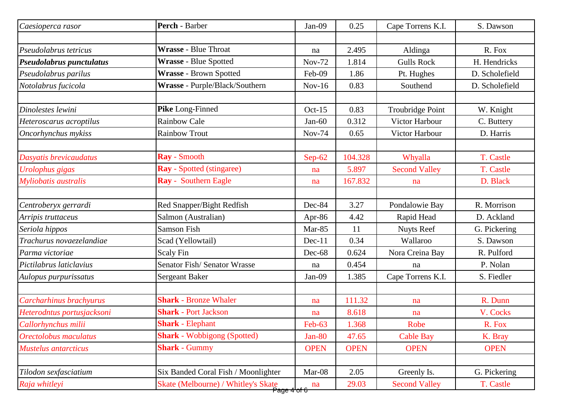| Caesioperca rasor           | Perch - Barber                      | Jan-09        | 0.25        | Cape Torrens K.I.    | S. Dawson      |
|-----------------------------|-------------------------------------|---------------|-------------|----------------------|----------------|
|                             |                                     |               |             |                      |                |
| Pseudolabrus tetricus       | <b>Wrasse - Blue Throat</b>         | na            | 2.495       | Aldinga              | R. Fox         |
| Pseudolabrus punctulatus    | Wrasse - Blue Spotted               | <b>Nov-72</b> | 1.814       | <b>Gulls Rock</b>    | H. Hendricks   |
| Pseudolabrus parilus        | <b>Wrasse - Brown Spotted</b>       | Feb-09        | 1.86        | Pt. Hughes           | D. Scholefield |
| Notolabrus fucicola         | Wrasse - Purple/Black/Southern      | $Nov-16$      | 0.83        | Southend             | D. Scholefield |
| Dinolestes lewini           | Pike Long-Finned                    | $Oct-15$      | 0.83        | Troubridge Point     | W. Knight      |
| Heteroscarus acroptilus     | <b>Rainbow Cale</b>                 | $Jan-60$      | 0.312       | Victor Harbour       | C. Buttery     |
| Oncorhynchus mykiss         | <b>Rainbow Trout</b>                | Nov-74        | 0.65        | Victor Harbour       | D. Harris      |
| Dasyatis brevicaudatus      | Ray - Smooth                        | $Sep-62$      | 104.328     | Whyalla              | T. Castle      |
| Urolophus gigas             | <b>Ray</b> - Spotted (stingaree)    | na            | 5.897       | <b>Second Valley</b> | T. Castle      |
| Myliobatis australis        | <b>Ray</b> - Southern Eagle         | na            | 167.832     | na                   | D. Black       |
| Centroberyx gerrardi        | Red Snapper/Bight Redfish           | Dec-84        | 3.27        | Pondalowie Bay       | R. Morrison    |
| Arripis truttaceus          | Salmon (Australian)                 | Apr-86        | 4.42        | Rapid Head           | D. Ackland     |
| Seriola hippos              | <b>Samson Fish</b>                  | Mar-85        | 11          | <b>Nuyts Reef</b>    | G. Pickering   |
| Trachurus novaezelandiae    | Scad (Yellowtail)                   | $Dec-11$      | 0.34        | Wallaroo             | S. Dawson      |
| Parma victoriae             | Scaly Fin                           | Dec-68        | 0.624       | Nora Creina Bay      | R. Pulford     |
| Pictilabrus laticlavius     | Senator Fish/Senator Wrasse         | na            | 0.454       | na                   | P. Nolan       |
| Aulopus purpurissatus       | <b>Sergeant Baker</b>               | Jan-09        | 1.385       | Cape Torrens K.I.    | S. Fiedler     |
| Carcharhinus brachyurus     | <b>Shark - Bronze Whaler</b>        | na            | 111.32      | na                   | R. Dunn        |
| Heterodntus portusjacksoni  | <b>Shark - Port Jackson</b>         | na            | 8.618       | na                   | V. Cocks       |
| Callorhynchus milii         | <b>Shark - Elephant</b>             | $Feb-63$      | 1.368       | Robe                 | R. Fox         |
| Orectolobus maculatus       | <b>Shark</b> - Wobbigong (Spotted)  | $Jan-80$      | 47.65       | <b>Cable Bay</b>     | K. Bray        |
| <b>Mustelus antarcticus</b> | <b>Shark - Gummy</b>                | <b>OPEN</b>   | <b>OPEN</b> | <b>OPEN</b>          | <b>OPEN</b>    |
| Tilodon sexfasciatium       | Six Banded Coral Fish / Moonlighter | Mar-08        | 2.05        | Greenly Is.          | G. Pickering   |
| Raja whitleyi               | Skate (Melbourne) / Whitley's Skate | na            | 29.03       | <b>Second Valley</b> | T. Castle      |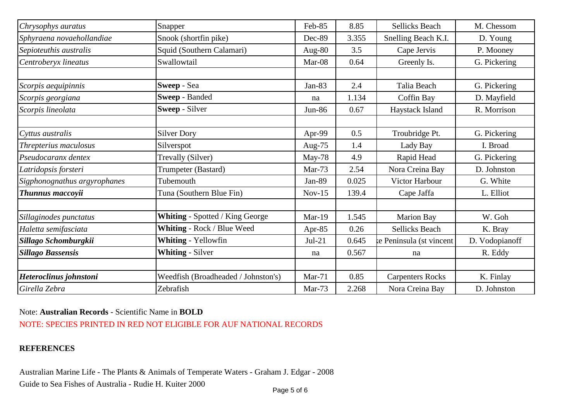| Chrysophys auratus           | Snapper                                | Feb-85    | 8.85  | <b>Sellicks Beach</b>    | M. Chessom     |
|------------------------------|----------------------------------------|-----------|-------|--------------------------|----------------|
| Sphyraena novaehollandiae    | Snook (shortfin pike)                  | Dec-89    | 3.355 | Snelling Beach K.I.      | D. Young       |
| Sepioteuthis australis       | Squid (Southern Calamari)              | Aug- $80$ | 3.5   | Cape Jervis              | P. Mooney      |
| Centroberyx lineatus         | Swallowtail                            | Mar-08    | 0.64  | Greenly Is.              | G. Pickering   |
|                              |                                        |           |       |                          |                |
| Scorpis aequipinnis          | Sweep - Sea                            | $Jan-83$  | 2.4   | Talia Beach              | G. Pickering   |
| Scorpis georgiana            | Sweep - Banded                         | na        | 1.134 | Coffin Bay               | D. Mayfield    |
| Scorpis lineolata            | Sweep - Silver                         | Jun-86    | 0.67  | Haystack Island          | R. Morrison    |
|                              |                                        |           |       |                          |                |
| Cyttus australis             | <b>Silver Dory</b>                     | Apr-99    | 0.5   | Troubridge Pt.           | G. Pickering   |
| Threpterius maculosus        | Silverspot                             | Aug- $75$ | 1.4   | Lady Bay                 | I. Broad       |
| Pseudocaranx dentex          | Trevally (Silver)                      | May-78    | 4.9   | Rapid Head               | G. Pickering   |
| Latridopsis forsteri         | Trumpeter (Bastard)                    | Mar-73    | 2.54  | Nora Creina Bay          | D. Johnston    |
| Sigphonognathus argyrophanes | Tubemouth                              | Jan-89    | 0.025 | Victor Harbour           | G. White       |
| Thunnus maccoyii             | Tuna (Southern Blue Fin)               | $Nov-15$  | 139.4 | Cape Jaffa               | L. Elliot      |
|                              |                                        |           |       |                          |                |
| Sillaginodes punctatus       | <b>Whiting - Spotted / King George</b> | $Mar-19$  | 1.545 | <b>Marion Bay</b>        | W. Goh         |
| Haletta semifasciata         | Whiting - Rock / Blue Weed             | Apr- $85$ | 0.26  | <b>Sellicks Beach</b>    | K. Bray        |
| Sillago Schomburgkii         | Whiting - Yellowfin                    | $Jul-21$  | 0.645 | te Peninsula (st vincent | D. Vodopianoff |
| <b>Sillago Bassensis</b>     | <b>Whiting - Silver</b>                | na        | 0.567 | na                       | R. Eddy        |
|                              |                                        |           |       |                          |                |
| Heteroclinus johnstoni       | Weedfish (Broadheaded / Johnston's)    | $Mar-71$  | 0.85  | <b>Carpenters Rocks</b>  | K. Finlay      |
| Girella Zebra                | Zebrafish                              | Mar-73    | 2.268 | Nora Creina Bay          | D. Johnston    |

## Note: **Australian Records** - Scientific Name in **BOLD**

NOTE: SPECIES PRINTED IN RED NOT ELIGIBLE FOR AUF NATIONAL RECORDS

## **REFERENCES**

Australian Marine Life - The Plants & Animals of Temperate Waters - Graham J. Edgar - 2008 Guide to Sea Fishes of Australia - Rudie H. Kuiter 2000